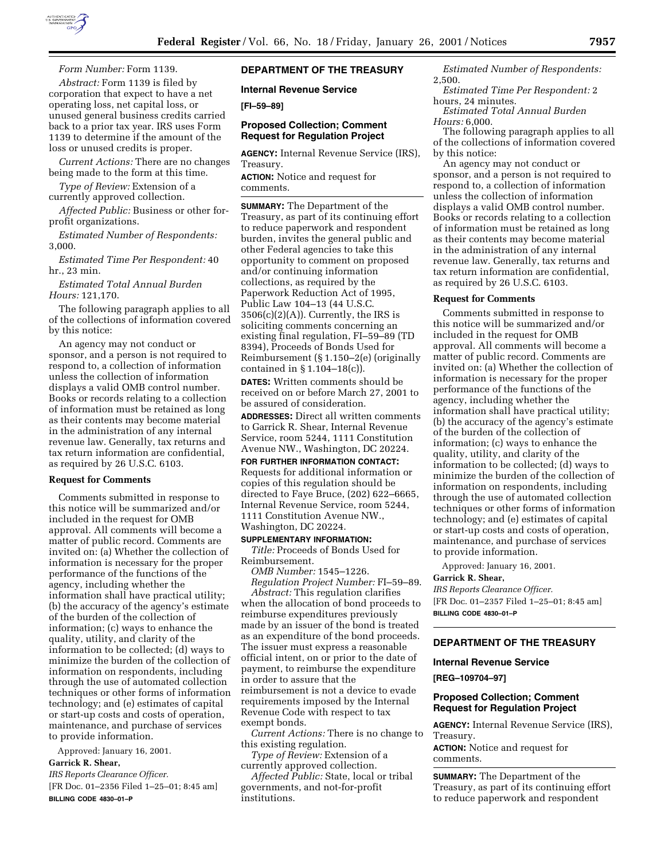

*Form Number:* Form 1139.

*Abstract:* Form 1139 is filed by corporation that expect to have a net operating loss, net capital loss, or unused general business credits carried back to a prior tax year. IRS uses Form 1139 to determine if the amount of the loss or unused credits is proper.

*Current Actions:* There are no changes being made to the form at this time.

*Type of Review:* Extension of a currently approved collection.

*Affected Public:* Business or other forprofit organizations.

*Estimated Number of Respondents:* 3,000.

*Estimated Time Per Respondent:* 40 hr., 23 min.

*Estimated Total Annual Burden Hours:* 121,170.

The following paragraph applies to all of the collections of information covered by this notice:

An agency may not conduct or sponsor, and a person is not required to respond to, a collection of information unless the collection of information displays a valid OMB control number. Books or records relating to a collection of information must be retained as long as their contents may become material in the administration of any internal revenue law. Generally, tax returns and tax return information are confidential, as required by 26 U.S.C. 6103.

#### **Request for Comments**

Comments submitted in response to this notice will be summarized and/or included in the request for OMB approval. All comments will become a matter of public record. Comments are invited on: (a) Whether the collection of information is necessary for the proper performance of the functions of the agency, including whether the information shall have practical utility; (b) the accuracy of the agency's estimate of the burden of the collection of information; (c) ways to enhance the quality, utility, and clarity of the information to be collected; (d) ways to minimize the burden of the collection of information on respondents, including through the use of automated collection techniques or other forms of information technology; and (e) estimates of capital or start-up costs and costs of operation, maintenance, and purchase of services to provide information.

Approved: January 16, 2001. **Garrick R. Shear,**

*IRS Reports Clearance Officer.*

[FR Doc. 01–2356 Filed 1–25–01; 8:45 am] **BILLING CODE 4830–01–P**

## **DEPARTMENT OF THE TREASURY**

**Internal Revenue Service**

**[FI–59–89]**

## **Proposed Collection; Comment Request for Regulation Project**

**AGENCY:** Internal Revenue Service (IRS), Treasury.

**ACTION:** Notice and request for comments.

**SUMMARY:** The Department of the Treasury, as part of its continuing effort to reduce paperwork and respondent burden, invites the general public and other Federal agencies to take this opportunity to comment on proposed and/or continuing information collections, as required by the Paperwork Reduction Act of 1995, Public Law 104–13 (44 U.S.C.  $3506(c)(2)(A)$ . Currently, the IRS is soliciting comments concerning an existing final regulation, FI–59–89 (TD 8394), Proceeds of Bonds Used for Reimbursement (§ 1.150–2(e) (originally contained in § 1.104–18(c)).

**DATES:** Written comments should be received on or before March 27, 2001 to be assured of consideration.

**ADDRESSES:** Direct all written comments to Garrick R. Shear, Internal Revenue Service, room 5244, 1111 Constitution Avenue NW., Washington, DC 20224.

**FOR FURTHER INFORMATION CONTACT:**

Requests for additional information or copies of this regulation should be directed to Faye Bruce, (202) 622–6665, Internal Revenue Service, room 5244, 1111 Constitution Avenue NW., Washington, DC 20224.

## **SUPPLEMENTARY INFORMATION:**

*Title:* Proceeds of Bonds Used for Reimbursement.

*OMB Number:* 1545–1226. *Regulation Project Number:* FI–59–89.

*Abstract:* This regulation clarifies when the allocation of bond proceeds to reimburse expenditures previously made by an issuer of the bond is treated as an expenditure of the bond proceeds. The issuer must express a reasonable official intent, on or prior to the date of payment, to reimburse the expenditure in order to assure that the reimbursement is not a device to evade requirements imposed by the Internal Revenue Code with respect to tax exempt bonds.

*Current Actions:* There is no change to this existing regulation.

*Type of Review:* Extension of a currently approved collection.

*Affected Public:* State, local or tribal governments, and not-for-profit institutions.

*Estimated Number of Respondents:* 2,500.

*Estimated Time Per Respondent:* 2 hours, 24 minutes.

*Estimated Total Annual Burden Hours:* 6,000.

The following paragraph applies to all of the collections of information covered by this notice:

An agency may not conduct or sponsor, and a person is not required to respond to, a collection of information unless the collection of information displays a valid OMB control number. Books or records relating to a collection of information must be retained as long as their contents may become material in the administration of any internal revenue law. Generally, tax returns and tax return information are confidential, as required by 26 U.S.C. 6103.

### **Request for Comments**

Comments submitted in response to this notice will be summarized and/or included in the request for OMB approval. All comments will become a matter of public record. Comments are invited on: (a) Whether the collection of information is necessary for the proper performance of the functions of the agency, including whether the information shall have practical utility; (b) the accuracy of the agency's estimate of the burden of the collection of information; (c) ways to enhance the quality, utility, and clarity of the information to be collected; (d) ways to minimize the burden of the collection of information on respondents, including through the use of automated collection techniques or other forms of information technology; and (e) estimates of capital or start-up costs and costs of operation, maintenance, and purchase of services to provide information.

Approved: January 16, 2001.

## **Garrick R. Shear,**

*IRS Reports Clearance Officer.* [FR Doc. 01–2357 Filed 1–25–01; 8:45 am] **BILLING CODE 4830–01–P**

# **DEPARTMENT OF THE TREASURY**

### **Internal Revenue Service**

**[REG–109704–97]**

## **Proposed Collection; Comment Request for Regulation Project**

**AGENCY:** Internal Revenue Service (IRS), Treasury.

**ACTION:** Notice and request for comments.

**SUMMARY:** The Department of the Treasury, as part of its continuing effort to reduce paperwork and respondent